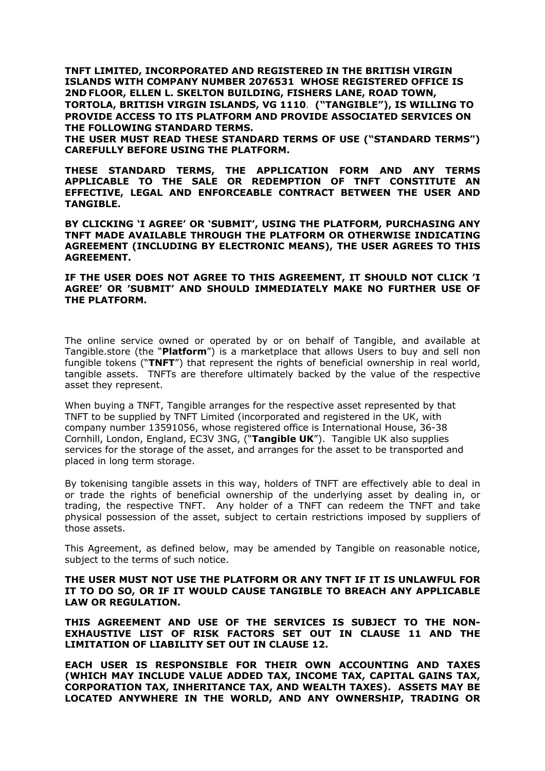**TNFT LIMITED, INCORPORATED AND REGISTERED IN THE BRITISH VIRGIN ISLANDS WITH COMPANY NUMBER 2076531 WHOSE REGISTERED OFFICE IS 2ND FLOOR, ELLEN L. SKELTON BUILDING, FISHERS LANE, ROAD TOWN, TORTOLA, BRITISH VIRGIN ISLANDS, VG 1110**. **("TANGIBLE"), IS WILLING TO PROVIDE ACCESS TO ITS PLATFORM AND PROVIDE ASSOCIATED SERVICES ON THE FOLLOWING STANDARD TERMS.** 

**THE USER MUST READ THESE STANDARD TERMS OF USE ("STANDARD TERMS") CAREFULLY BEFORE USING THE PLATFORM.** 

**THESE STANDARD TERMS, THE APPLICATION FORM AND ANY TERMS APPLICABLE TO THE SALE OR REDEMPTION OF TNFT CONSTITUTE AN EFFECTIVE, LEGAL AND ENFORCEABLE CONTRACT BETWEEN THE USER AND TANGIBLE.** 

**BY CLICKING 'I AGREE' OR 'SUBMIT', USING THE PLATFORM, PURCHASING ANY TNFT MADE AVAILABLE THROUGH THE PLATFORM OR OTHERWISE INDICATING AGREEMENT (INCLUDING BY ELECTRONIC MEANS), THE USER AGREES TO THIS AGREEMENT.** 

### **IF THE USER DOES NOT AGREE TO THIS AGREEMENT, IT SHOULD NOT CLICK 'I AGREE' OR 'SUBMIT' AND SHOULD IMMEDIATELY MAKE NO FURTHER USE OF THE PLATFORM.**

The online service owned or operated by or on behalf of Tangible, and available at Tangible.store (the "**Platform**") is a marketplace that allows Users to buy and sell non fungible tokens ("**TNFT**") that represent the rights of beneficial ownership in real world, tangible assets. TNFTs are therefore ultimately backed by the value of the respective asset they represent.

When buying a TNFT, Tangible arranges for the respective asset represented by that TNFT to be supplied by TNFT Limited (incorporated and registered in the UK, with company number 13591056, whose registered office is International House, 36-38 Cornhill, London, England, EC3V 3NG, ("**Tangible UK**"). Tangible UK also supplies services for the storage of the asset, and arranges for the asset to be transported and placed in long term storage.

By tokenising tangible assets in this way, holders of TNFT are effectively able to deal in or trade the rights of beneficial ownership of the underlying asset by dealing in, or trading, the respective TNFT. Any holder of a TNFT can redeem the TNFT and take physical possession of the asset, subject to certain restrictions imposed by suppliers of those assets.

This Agreement, as defined below, may be amended by Tangible on reasonable notice, subject to the terms of such notice.

**THE USER MUST NOT USE THE PLATFORM OR ANY TNFT IF IT IS UNLAWFUL FOR IT TO DO SO, OR IF IT WOULD CAUSE TANGIBLE TO BREACH ANY APPLICABLE LAW OR REGULATION.**

**THIS AGREEMENT AND USE OF THE SERVICES IS SUBJECT TO THE NON-EXHAUSTIVE LIST OF RISK FACTORS SET OUT IN CLAUSE 11 AND THE LIMITATION OF LIABILITY SET OUT IN CLAUSE 12.**

**EACH USER IS RESPONSIBLE FOR THEIR OWN ACCOUNTING AND TAXES (WHICH MAY INCLUDE VALUE ADDED TAX, INCOME TAX, CAPITAL GAINS TAX, CORPORATION TAX, INHERITANCE TAX, AND WEALTH TAXES). ASSETS MAY BE LOCATED ANYWHERE IN THE WORLD, AND ANY OWNERSHIP, TRADING OR**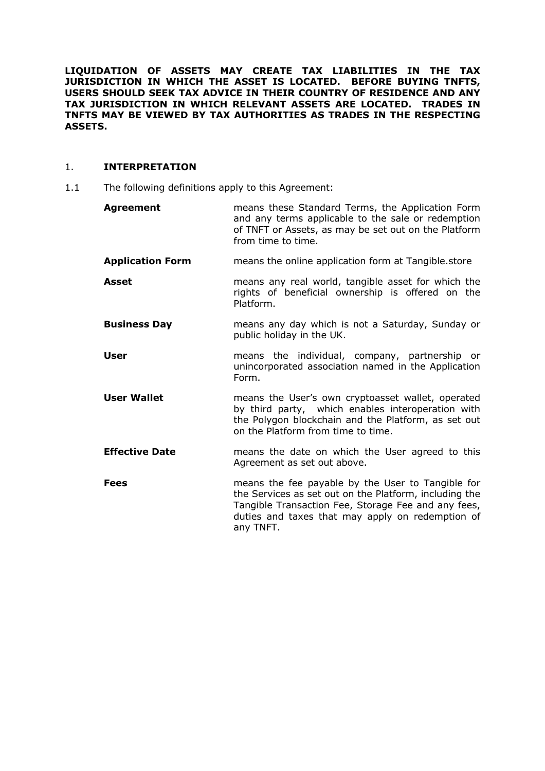**LIQUIDATION OF ASSETS MAY CREATE TAX LIABILITIES IN THE TAX JURISDICTION IN WHICH THE ASSET IS LOCATED. BEFORE BUYING TNFTS, USERS SHOULD SEEK TAX ADVICE IN THEIR COUNTRY OF RESIDENCE AND ANY TAX JURISDICTION IN WHICH RELEVANT ASSETS ARE LOCATED. TRADES IN TNFTS MAY BE VIEWED BY TAX AUTHORITIES AS TRADES IN THE RESPECTING ASSETS.**

# 1. **INTERPRETATION**

1.1 The following definitions apply to this Agreement:

| <b>Agreement</b>        | means these Standard Terms, the Application Form<br>and any terms applicable to the sale or redemption<br>of TNFT or Assets, as may be set out on the Platform<br>from time to time.                                                |
|-------------------------|-------------------------------------------------------------------------------------------------------------------------------------------------------------------------------------------------------------------------------------|
| <b>Application Form</b> | means the online application form at Tangible.store                                                                                                                                                                                 |
| <b>Asset</b>            | means any real world, tangible asset for which the<br>rights of beneficial ownership is offered on the<br>Platform.                                                                                                                 |
| <b>Business Day</b>     | means any day which is not a Saturday, Sunday or<br>public holiday in the UK.                                                                                                                                                       |
| <b>User</b>             | means the individual, company, partnership or<br>unincorporated association named in the Application<br>Form.                                                                                                                       |
| <b>User Wallet</b>      | means the User's own cryptoasset wallet, operated<br>by third party, which enables interoperation with<br>the Polygon blockchain and the Platform, as set out<br>on the Platform from time to time.                                 |
| <b>Effective Date</b>   | means the date on which the User agreed to this<br>Agreement as set out above.                                                                                                                                                      |
| <b>Fees</b>             | means the fee payable by the User to Tangible for<br>the Services as set out on the Platform, including the<br>Tangible Transaction Fee, Storage Fee and any fees,<br>duties and taxes that may apply on redemption of<br>any TNFT. |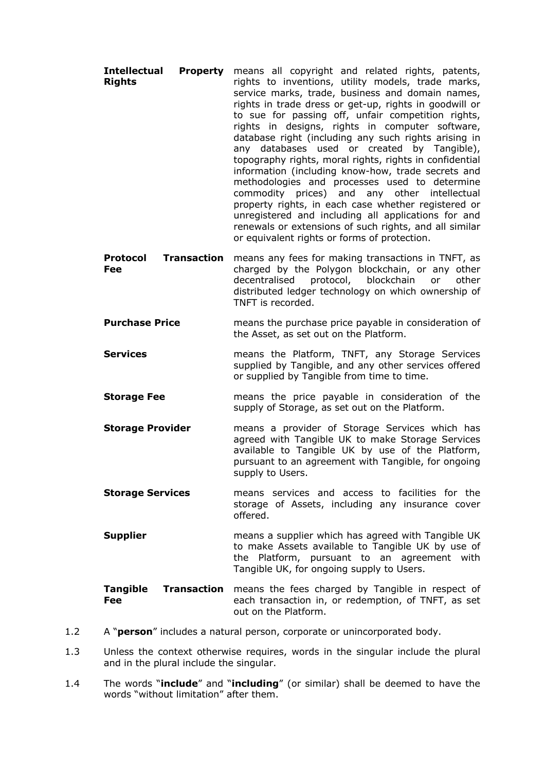- **Intellectual Property Rights** means all copyright and related rights, patents, rights to inventions, utility models, trade marks, service marks, trade, business and domain names, rights in trade dress or get-up, rights in goodwill or to sue for passing off, unfair competition rights, rights in designs, rights in computer software, database right (including any such rights arising in any databases used or created by Tangible), topography rights, moral rights, rights in confidential information (including know-how, trade secrets and methodologies and processes used to determine commodity prices) and any other intellectual property rights, in each case whether registered or unregistered and including all applications for and renewals or extensions of such rights, and all similar or equivalent rights or forms of protection.
- **Protocol Transaction**  means any fees for making transactions in TNFT, as **Fee** charged by the Polygon blockchain, or any other decentralised protocol, blockchain or other distributed ledger technology on which ownership of TNFT is recorded.
- **Purchase Price** means the purchase price payable in consideration of the Asset, as set out on the Platform.
- **Services means the Platform, TNFT, any Storage Services** supplied by Tangible, and any other services offered or supplied by Tangible from time to time.
- **Storage Fee means** the price payable in consideration of the supply of Storage, as set out on the Platform.
- **Storage Provider** means a provider of Storage Services which has agreed with Tangible UK to make Storage Services available to Tangible UK by use of the Platform, pursuant to an agreement with Tangible, for ongoing supply to Users.
- **Storage Services** means services and access to facilities for the storage of Assets, including any insurance cover offered.
- **Supplier Supplier** means a supplier which has agreed with Tangible UK to make Assets available to Tangible UK by use of the Platform, pursuant to an agreement with Tangible UK, for ongoing supply to Users.

**Tangible Transaction**  means the fees charged by Tangible in respect of **Fee** each transaction in, or redemption, of TNFT, as set out on the Platform.

- 1.2 A "**person**" includes a natural person, corporate or unincorporated body.
- 1.3 Unless the context otherwise requires, words in the singular include the plural and in the plural include the singular.
- 1.4 The words "**include**" and "**including**" (or similar) shall be deemed to have the words "without limitation" after them.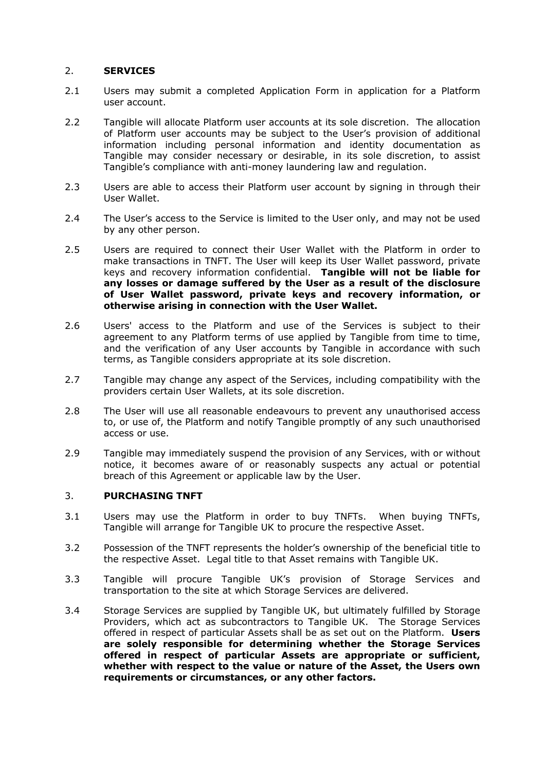# 2. **SERVICES**

- 2.1 Users may submit a completed Application Form in application for a Platform user account.
- 2.2 Tangible will allocate Platform user accounts at its sole discretion. The allocation of Platform user accounts may be subject to the User's provision of additional information including personal information and identity documentation as Tangible may consider necessary or desirable, in its sole discretion, to assist Tangible's compliance with anti-money laundering law and regulation.
- 2.3 Users are able to access their Platform user account by signing in through their User Wallet.
- 2.4 The User's access to the Service is limited to the User only, and may not be used by any other person.
- 2.5 Users are required to connect their User Wallet with the Platform in order to make transactions in TNFT. The User will keep its User Wallet password, private keys and recovery information confidential. **Tangible will not be liable for any losses or damage suffered by the User as a result of the disclosure of User Wallet password, private keys and recovery information, or otherwise arising in connection with the User Wallet.**
- 2.6 Users' access to the Platform and use of the Services is subject to their agreement to any Platform terms of use applied by Tangible from time to time, and the verification of any User accounts by Tangible in accordance with such terms, as Tangible considers appropriate at its sole discretion.
- 2.7 Tangible may change any aspect of the Services, including compatibility with the providers certain User Wallets, at its sole discretion.
- 2.8 The User will use all reasonable endeavours to prevent any unauthorised access to, or use of, the Platform and notify Tangible promptly of any such unauthorised access or use.
- 2.9 Tangible may immediately suspend the provision of any Services, with or without notice, it becomes aware of or reasonably suspects any actual or potential breach of this Agreement or applicable law by the User.

### 3. **PURCHASING TNFT**

- 3.1 Users may use the Platform in order to buy TNFTs. When buying TNFTs, Tangible will arrange for Tangible UK to procure the respective Asset.
- 3.2 Possession of the TNFT represents the holder's ownership of the beneficial title to the respective Asset. Legal title to that Asset remains with Tangible UK.
- 3.3 Tangible will procure Tangible UK's provision of Storage Services and transportation to the site at which Storage Services are delivered.
- 3.4 Storage Services are supplied by Tangible UK, but ultimately fulfilled by Storage Providers, which act as subcontractors to Tangible UK. The Storage Services offered in respect of particular Assets shall be as set out on the Platform. **Users are solely responsible for determining whether the Storage Services offered in respect of particular Assets are appropriate or sufficient, whether with respect to the value or nature of the Asset, the Users own requirements or circumstances, or any other factors.**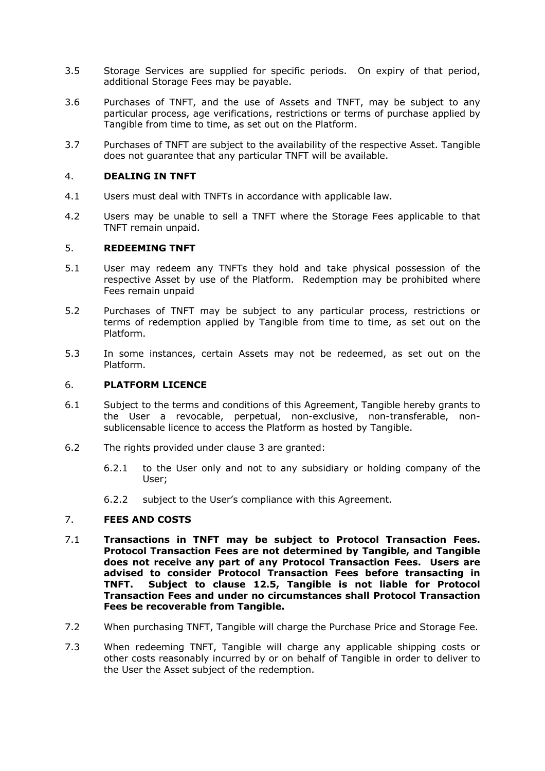- 3.5 Storage Services are supplied for specific periods. On expiry of that period, additional Storage Fees may be payable.
- 3.6 Purchases of TNFT, and the use of Assets and TNFT, may be subject to any particular process, age verifications, restrictions or terms of purchase applied by Tangible from time to time, as set out on the Platform.
- 3.7 Purchases of TNFT are subject to the availability of the respective Asset. Tangible does not guarantee that any particular TNFT will be available.

## 4. **DEALING IN TNFT**

- 4.1 Users must deal with TNFTs in accordance with applicable law.
- 4.2 Users may be unable to sell a TNFT where the Storage Fees applicable to that TNFT remain unpaid.

## 5. **REDEEMING TNFT**

- 5.1 User may redeem any TNFTs they hold and take physical possession of the respective Asset by use of the Platform. Redemption may be prohibited where Fees remain unpaid
- 5.2 Purchases of TNFT may be subject to any particular process, restrictions or terms of redemption applied by Tangible from time to time, as set out on the Platform.
- 5.3 In some instances, certain Assets may not be redeemed, as set out on the Platform.

#### 6. **PLATFORM LICENCE**

- 6.1 Subject to the terms and conditions of this Agreement, Tangible hereby grants to the User a revocable, perpetual, non-exclusive, non-transferable, nonsublicensable licence to access the Platform as hosted by Tangible.
- 6.2 The rights provided under clause 3 are granted:
	- 6.2.1 to the User only and not to any subsidiary or holding company of the User;
	- 6.2.2 subject to the User's compliance with this Agreement.

### 7. **FEES AND COSTS**

- 7.1 **Transactions in TNFT may be subject to Protocol Transaction Fees. Protocol Transaction Fees are not determined by Tangible, and Tangible does not receive any part of any Protocol Transaction Fees. Users are advised to consider Protocol Transaction Fees before transacting in TNFT. Subject to clause 12.5, Tangible is not liable for Protocol Transaction Fees and under no circumstances shall Protocol Transaction Fees be recoverable from Tangible.**
- 7.2 When purchasing TNFT, Tangible will charge the Purchase Price and Storage Fee.
- 7.3 When redeeming TNFT, Tangible will charge any applicable shipping costs or other costs reasonably incurred by or on behalf of Tangible in order to deliver to the User the Asset subject of the redemption.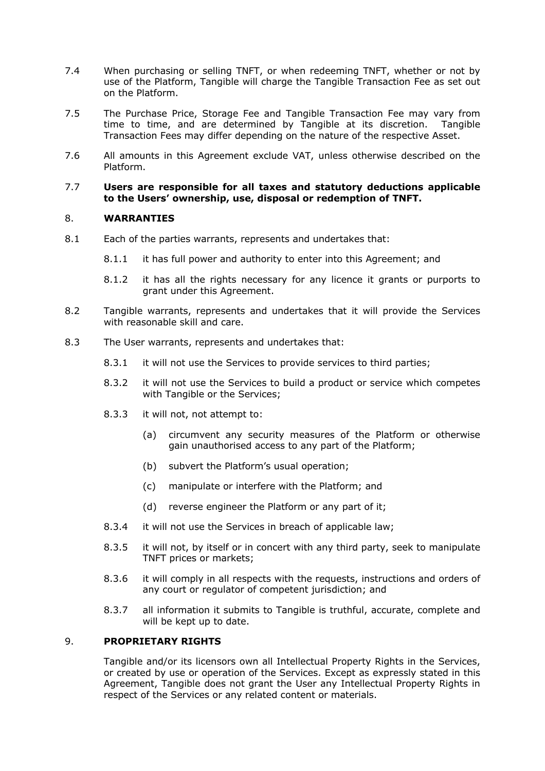- 7.4 When purchasing or selling TNFT, or when redeeming TNFT, whether or not by use of the Platform, Tangible will charge the Tangible Transaction Fee as set out on the Platform.
- 7.5 The Purchase Price, Storage Fee and Tangible Transaction Fee may vary from time to time, and are determined by Tangible at its discretion. Tangible Transaction Fees may differ depending on the nature of the respective Asset.
- 7.6 All amounts in this Agreement exclude VAT, unless otherwise described on the Platform.

#### 7.7 **Users are responsible for all taxes and statutory deductions applicable to the Users' ownership, use, disposal or redemption of TNFT.**

## 8. **WARRANTIES**

- 8.1 Each of the parties warrants, represents and undertakes that:
	- 8.1.1 it has full power and authority to enter into this Agreement; and
	- 8.1.2 it has all the rights necessary for any licence it grants or purports to grant under this Agreement.
- 8.2 Tangible warrants, represents and undertakes that it will provide the Services with reasonable skill and care.
- 8.3 The User warrants, represents and undertakes that:
	- 8.3.1 it will not use the Services to provide services to third parties;
	- 8.3.2 it will not use the Services to build a product or service which competes with Tangible or the Services;
	- 8.3.3 it will not, not attempt to:
		- (a) circumvent any security measures of the Platform or otherwise gain unauthorised access to any part of the Platform;
		- (b) subvert the Platform's usual operation;
		- (c) manipulate or interfere with the Platform; and
		- (d) reverse engineer the Platform or any part of it;
	- 8.3.4 it will not use the Services in breach of applicable law;
	- 8.3.5 it will not, by itself or in concert with any third party, seek to manipulate TNFT prices or markets;
	- 8.3.6 it will comply in all respects with the requests, instructions and orders of any court or regulator of competent jurisdiction; and
	- 8.3.7 all information it submits to Tangible is truthful, accurate, complete and will be kept up to date.

### 9. **PROPRIETARY RIGHTS**

Tangible and/or its licensors own all Intellectual Property Rights in the Services, or created by use or operation of the Services. Except as expressly stated in this Agreement, Tangible does not grant the User any Intellectual Property Rights in respect of the Services or any related content or materials.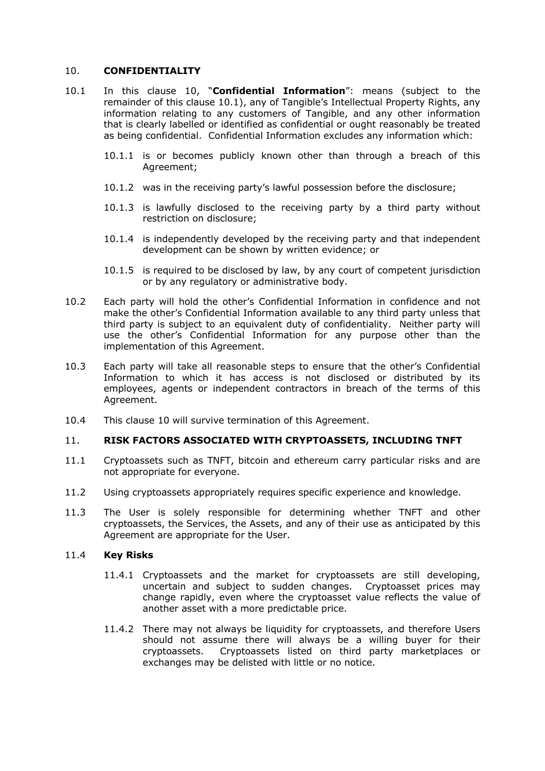## 10. **CONFIDENTIALITY**

- 10.1 In this clause 10, "**Confidential Information**": means (subject to the remainder of this clause 10.1), any of Tangible's Intellectual Property Rights, any information relating to any customers of Tangible, and any other information that is clearly labelled or identified as confidential or ought reasonably be treated as being confidential. Confidential Information excludes any information which:
	- 10.1.1 is or becomes publicly known other than through a breach of this Agreement;
	- 10.1.2 was in the receiving party's lawful possession before the disclosure;
	- 10.1.3 is lawfully disclosed to the receiving party by a third party without restriction on disclosure;
	- 10.1.4 is independently developed by the receiving party and that independent development can be shown by written evidence; or
	- 10.1.5 is required to be disclosed by law, by any court of competent jurisdiction or by any regulatory or administrative body.
- 10.2 Each party will hold the other's Confidential Information in confidence and not make the other's Confidential Information available to any third party unless that third party is subject to an equivalent duty of confidentiality. Neither party will use the other's Confidential Information for any purpose other than the implementation of this Agreement.
- 10.3 Each party will take all reasonable steps to ensure that the other's Confidential Information to which it has access is not disclosed or distributed by its employees, agents or independent contractors in breach of the terms of this Agreement.
- 10.4 This clause 10 will survive termination of this Agreement.

### 11. **RISK FACTORS ASSOCIATED WITH CRYPTOASSETS, INCLUDING TNFT**

- 11.1 Cryptoassets such as TNFT, bitcoin and ethereum carry particular risks and are not appropriate for everyone.
- 11.2 Using cryptoassets appropriately requires specific experience and knowledge.
- 11.3 The User is solely responsible for determining whether TNFT and other cryptoassets, the Services, the Assets, and any of their use as anticipated by this Agreement are appropriate for the User.

### 11.4 **Key Risks**

- 11.4.1 Cryptoassets and the market for cryptoassets are still developing, uncertain and subject to sudden changes. Cryptoasset prices may change rapidly, even where the cryptoasset value reflects the value of another asset with a more predictable price.
- 11.4.2 There may not always be liquidity for cryptoassets, and therefore Users should not assume there will always be a willing buyer for their cryptoassets. Cryptoassets listed on third party marketplaces or exchanges may be delisted with little or no notice.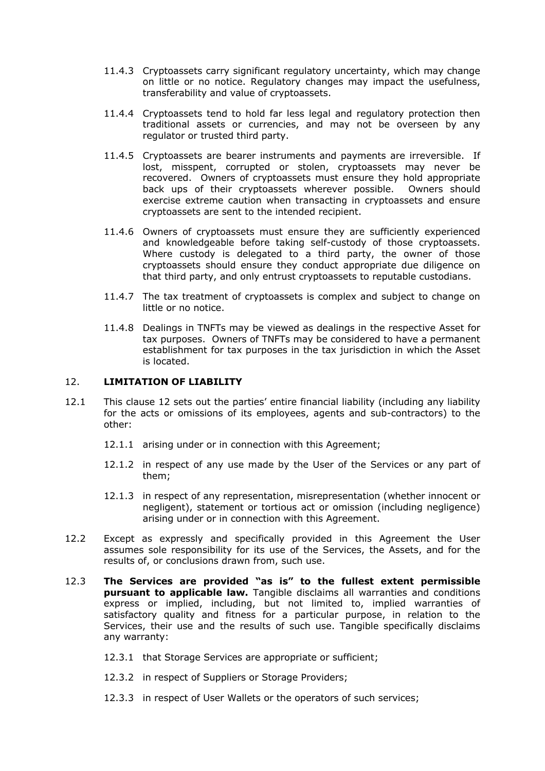- 11.4.3 Cryptoassets carry significant regulatory uncertainty, which may change on little or no notice. Regulatory changes may impact the usefulness, transferability and value of cryptoassets.
- 11.4.4 Cryptoassets tend to hold far less legal and regulatory protection then traditional assets or currencies, and may not be overseen by any regulator or trusted third party.
- 11.4.5 Cryptoassets are bearer instruments and payments are irreversible. If lost, misspent, corrupted or stolen, cryptoassets may never be recovered. Owners of cryptoassets must ensure they hold appropriate back ups of their cryptoassets wherever possible. Owners should exercise extreme caution when transacting in cryptoassets and ensure cryptoassets are sent to the intended recipient.
- 11.4.6 Owners of cryptoassets must ensure they are sufficiently experienced and knowledgeable before taking self-custody of those cryptoassets. Where custody is delegated to a third party, the owner of those cryptoassets should ensure they conduct appropriate due diligence on that third party, and only entrust cryptoassets to reputable custodians.
- 11.4.7 The tax treatment of cryptoassets is complex and subject to change on little or no notice.
- 11.4.8 Dealings in TNFTs may be viewed as dealings in the respective Asset for tax purposes. Owners of TNFTs may be considered to have a permanent establishment for tax purposes in the tax jurisdiction in which the Asset is located.

## 12. **LIMITATION OF LIABILITY**

- 12.1 This clause 12 sets out the parties' entire financial liability (including any liability for the acts or omissions of its employees, agents and sub-contractors) to the other:
	- 12.1.1 arising under or in connection with this Agreement;
	- 12.1.2 in respect of any use made by the User of the Services or any part of them;
	- 12.1.3 in respect of any representation, misrepresentation (whether innocent or negligent), statement or tortious act or omission (including negligence) arising under or in connection with this Agreement.
- 12.2 Except as expressly and specifically provided in this Agreement the User assumes sole responsibility for its use of the Services, the Assets, and for the results of, or conclusions drawn from, such use.
- 12.3 **The Services are provided "as is" to the fullest extent permissible pursuant to applicable law.** Tangible disclaims all warranties and conditions express or implied, including, but not limited to, implied warranties of satisfactory quality and fitness for a particular purpose, in relation to the Services, their use and the results of such use. Tangible specifically disclaims any warranty:
	- 12.3.1 that Storage Services are appropriate or sufficient;
	- 12.3.2 in respect of Suppliers or Storage Providers;
	- 12.3.3 in respect of User Wallets or the operators of such services;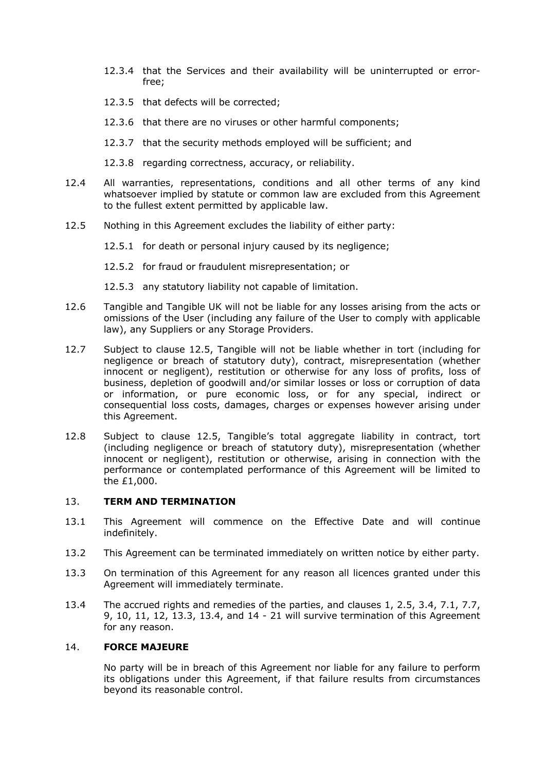- 12.3.4 that the Services and their availability will be uninterrupted or errorfree;
- 12.3.5 that defects will be corrected;
- 12.3.6 that there are no viruses or other harmful components;
- 12.3.7 that the security methods employed will be sufficient; and

12.3.8 regarding correctness, accuracy, or reliability.

- 12.4 All warranties, representations, conditions and all other terms of any kind whatsoever implied by statute or common law are excluded from this Agreement to the fullest extent permitted by applicable law.
- 12.5 Nothing in this Agreement excludes the liability of either party:

12.5.1 for death or personal injury caused by its negligence;

- 12.5.2 for fraud or fraudulent misrepresentation; or
- 12.5.3 any statutory liability not capable of limitation.
- 12.6 Tangible and Tangible UK will not be liable for any losses arising from the acts or omissions of the User (including any failure of the User to comply with applicable law), any Suppliers or any Storage Providers.
- 12.7 Subject to clause 12.5, Tangible will not be liable whether in tort (including for negligence or breach of statutory duty), contract, misrepresentation (whether innocent or negligent), restitution or otherwise for any loss of profits, loss of business, depletion of goodwill and/or similar losses or loss or corruption of data or information, or pure economic loss, or for any special, indirect or consequential loss costs, damages, charges or expenses however arising under this Agreement.
- 12.8 Subject to clause 12.5, Tangible's total aggregate liability in contract, tort (including negligence or breach of statutory duty), misrepresentation (whether innocent or negligent), restitution or otherwise, arising in connection with the performance or contemplated performance of this Agreement will be limited to the £1,000.

### 13. **TERM AND TERMINATION**

- 13.1 This Agreement will commence on the Effective Date and will continue indefinitely.
- 13.2 This Agreement can be terminated immediately on written notice by either party.
- 13.3 On termination of this Agreement for any reason all licences granted under this Agreement will immediately terminate.
- 13.4 The accrued rights and remedies of the parties, and clauses 1, 2.5, 3.4, 7.1, 7.7, 9, 10, 11, 12, 13.3, 13.4, and 14 - 21 will survive termination of this Agreement for any reason.

# 14. **FORCE MAJEURE**

No party will be in breach of this Agreement nor liable for any failure to perform its obligations under this Agreement, if that failure results from circumstances beyond its reasonable control.